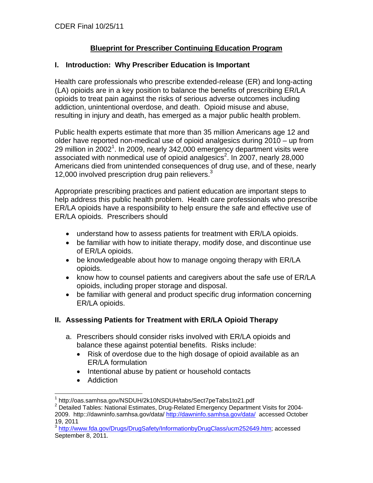## **Blueprint for Prescriber Continuing Education Program**

#### **I. Introduction: Why Prescriber Education is Important**

Health care professionals who prescribe extended-release (ER) and long-acting (LA) opioids are in a key position to balance the benefits of prescribing ER/LA opioids to treat pain against the risks of serious adverse outcomes including addiction, unintentional overdose, and death. Opioid misuse and abuse, resulting in injury and death, has emerged as a major public health problem.

Public health experts estimate that more than 35 million Americans age 12 and older have reported non-medical use of opioid analgesics during 2010 – up from 29 million in  $2002<sup>1</sup>$ . In 2009, nearly 342,000 emergency department visits were associated with nonmedical use of opioid analgesics<sup>2</sup>. In 2007, nearly 28,000 Americans died from unintended consequences of drug use, and of these, nearly 12,000 involved prescription drug pain relievers. $3$ 

Appropriate prescribing practices and patient education are important steps to help address this public health problem. Health care professionals who prescribe ER/LA opioids have a responsibility to help ensure the safe and effective use of ER/LA opioids. Prescribers should

- understand how to assess patients for treatment with ER/LA opioids.
- be familiar with how to initiate therapy, modify dose, and discontinue use of ER/LA opioids.
- be knowledgeable about how to manage ongoing therapy with ER/LA opioids.
- know how to counsel patients and caregivers about the safe use of ER/LA opioids, including proper storage and disposal.
- be familiar with general and product specific drug information concerning ER/LA opioids.

# **II. Assessing Patients for Treatment with ER/LA Opioid Therapy**

- a. Prescribers should consider risks involved with ER/LA opioids and balance these against potential benefits. Risks include:
	- Risk of overdose due to the high dosage of opioid available as an ER/LA formulation
	- Intentional abuse by patient or household contacts
	- Addiction

 $\overline{a}$ <sup>1</sup> http://oas.samhsa.gov/NSDUH/2k10NSDUH/tabs/Sect7peTabs1to21.pdf<br><sup>2</sup> Deteiled Tebles: National Estimates, Drug Belated Emergency Departme

<sup>&</sup>lt;sup>2</sup> Detailed Tables: National Estimates, Drug-Related Emergency Department Visits for 2004-2009. http:://dawninfo.samhsa.gov/data/ http://dawninfo.samhsa.gov/data/ accessed October 19, 2011

<sup>3</sup> http://www.fda.gov/Drugs/DrugSafety/InformationbyDrugClass/ucm252649.htm; accessed September 8, 2011.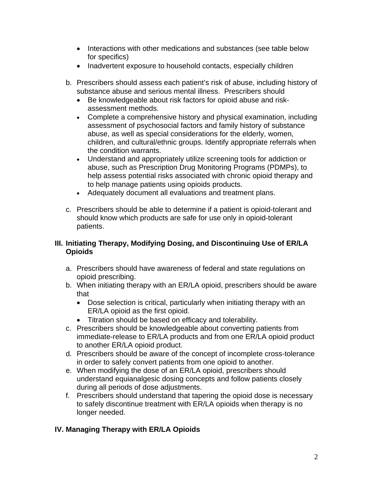- Interactions with other medications and substances (see table below for specifics)
- Inadvertent exposure to household contacts, especially children
- b. Prescribers should assess each patient's risk of abuse, including history of substance abuse and serious mental illness. Prescribers should
	- Be knowledgeable about risk factors for opioid abuse and riskassessment methods.
	- Complete a comprehensive history and physical examination, including assessment of psychosocial factors and family history of substance abuse, as well as special considerations for the elderly, women, children, and cultural/ethnic groups. Identify appropriate referrals when the condition warrants.
	- to help manage patients using opioids products. • Understand and appropriately utilize screening tools for addiction or abuse, such as Prescription Drug Monitoring Programs (PDMPs), to help assess potential risks associated with chronic opioid therapy and
	- Adequately document all evaluations and treatment plans.
- c. Prescribers should be able to determine if a patient is opioid-tolerant and should know which products are safe for use only in opioid-tolerant patients.

## **III. Initiating Therapy, Modifying Dosing, and Discontinuing Use of ER/LA Opioids**

- a. Prescribers should have awareness of federal and state regulations on opioid prescribing.
- b. When initiating therapy with an ER/LA opioid, prescribers should be aware that
	- Dose selection is critical, particularly when initiating therapy with an ER/LA opioid as the first opioid.
	- Titration should be based on efficacy and tolerability.
- c. Prescribers should be knowledgeable about converting patients from immediate-release to ER/LA products and from one ER/LA opioid product to another ER/LA opioid product.
- d. Prescribers should be aware of the concept of incomplete cross-tolerance in order to safely convert patients from one opioid to another.
- e. When modifying the dose of an ER/LA opioid, prescribers should understand equianalgesic dosing concepts and follow patients closely during all periods of dose adjustments.
- f. Prescribers should understand that tapering the opioid dose is necessary to safely discontinue treatment with ER/LA opioids when therapy is no longer needed.

# **IV. Managing Therapy with ER/LA Opioids**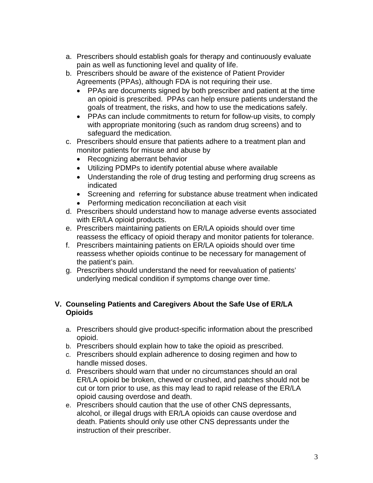- a. Prescribers should establish goals for therapy and continuously evaluate pain as well as functioning level and quality of life.
- b. Prescribers should be aware of the existence of Patient Provider Agreements (PPAs), although FDA is not requiring their use.
	- PPAs are documents signed by both prescriber and patient at the time an opioid is prescribed. PPAs can help ensure patients understand the goals of treatment, the risks, and how to use the medications safely.
	- PPAs can include commitments to return for follow-up visits, to comply with appropriate monitoring (such as random drug screens) and to safeguard the medication.
- c. Prescribers should ensure that patients adhere to a treatment plan and monitor patients for misuse and abuse by
	- Recognizing aberrant behavior
	- Utilizing PDMPs to identify potential abuse where available
	- Understanding the role of drug testing and performing drug screens as indicated
	- Screening and referring for substance abuse treatment when indicated
	- Performing medication reconciliation at each visit
- d. Prescribers should understand how to manage adverse events associated with ER/LA opioid products.
- e. Prescribers maintaining patients on ER/LA opioids should over time reassess the efficacy of opioid therapy and monitor patients for tolerance.
- f. Prescribers maintaining patients on ER/LA opioids should over time reassess whether opioids continue to be necessary for management of the patient's pain.
- g. Prescribers should understand the need for reevaluation of patients' underlying medical condition if symptoms change over time.

# **Opioids V. Counseling Patients and Caregivers About the Safe Use of ER/LA**

- a. Prescribers should give product-specific information about the prescribed opioid.
- b. Prescribers should explain how to take the opioid as prescribed.
- c. Prescribers should explain adherence to dosing regimen and how to handle missed doses.
- d. Prescribers should warn that under no circumstances should an oral ER/LA opioid be broken, chewed or crushed, and patches should not be cut or torn prior to use, as this may lead to rapid release of the ER/LA opioid causing overdose and death.
- e. Prescribers should caution that the use of other CNS depressants, alcohol, or illegal drugs with ER/LA opioids can cause overdose and death. Patients should only use other CNS depressants under the instruction of their prescriber.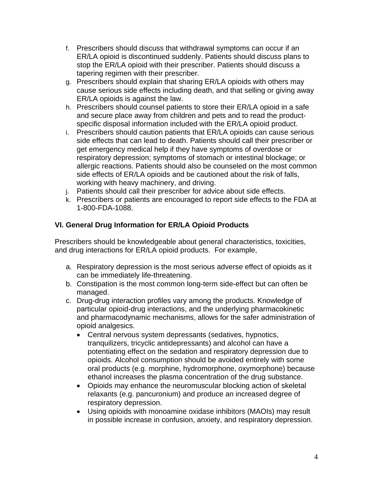- f. Prescribers should discuss that withdrawal symptoms can occur if an ER/LA opioid is discontinued suddenly. Patients should discuss plans to stop the ER/LA opioid with their prescriber. Patients should discuss a tapering regimen with their prescriber.
- g. Prescribers should explain that sharing ER/LA opioids with others may cause serious side effects including death, and that selling or giving away ER/LA opioids is against the law.
- h. Prescribers should counsel patients to store their ER/LA opioid in a safe and secure place away from children and pets and to read the productspecific disposal information included with the ER/LA opioid product.
- i. Prescribers should caution patients that ER/LA opioids can cause serious side effects that can lead to death. Patients should call their prescriber or get emergency medical help if they have symptoms of overdose or respiratory depression; symptoms of stomach or intestinal blockage; or allergic reactions. Patients should also be counseled on the most common side effects of ER/LA opioids and be cautioned about the risk of falls, working with heavy machinery, and driving.
- j. Patients should call their prescriber for advice about side effects.
- k. Prescribers or patients are encouraged to report side effects to the FDA at 1-800-FDA-1088.

# **VI. General Drug Information for ER/LA Opioid Products**

Prescribers should be knowledgeable about general characteristics, toxicities, and drug interactions for ER/LA opioid products. For example,

- a. Respiratory depression is the most serious adverse effect of opioids as it can be immediately life-threatening.
- b. Constipation is the most common long-term side-effect but can often be managed.
- c. Drug-drug interaction profiles vary among the products. Knowledge of particular opioid-drug interactions, and the underlying pharmacokinetic and pharmacodynamic mechanisms, allows for the safer administration of opioid analgesics.
	- Central nervous system depressants (sedatives, hypnotics, tranquilizers, tricyclic antidepressants) and alcohol can have a potentiating effect on the sedation and respiratory depression due to opioids. Alcohol consumption should be avoided entirely with some oral products (e.g. morphine, hydromorphone, oxymorphone) because ethanol increases the plasma concentration of the drug substance.
	- Opioids may enhance the neuromuscular blocking action of skeletal relaxants (e.g. pancuronium) and produce an increased degree of respiratory depression.
	- Using opioids with monoamine oxidase inhibitors (MAOIs) may result in possible increase in confusion, anxiety, and respiratory depression.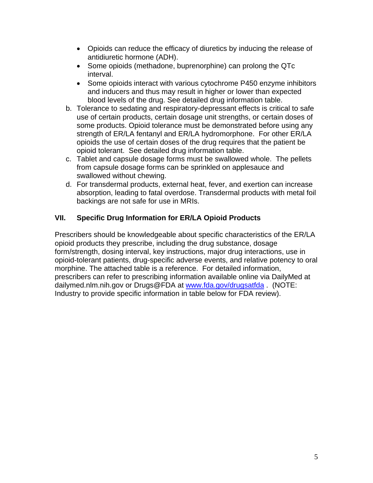- Opioids can reduce the efficacy of diuretics by inducing the release of antidiuretic hormone (ADH).
- Some opioids (methadone, buprenorphine) can prolong the QTc interval.
- Some opioids interact with various cytochrome P450 enzyme inhibitors and inducers and thus may result in higher or lower than expected blood levels of the drug. See detailed drug information table.
- b. Tolerance to sedating and respiratory-depressant effects is critical to safe use of certain products, certain dosage unit strengths, or certain doses of some products. Opioid tolerance must be demonstrated before using any strength of ER/LA fentanyl and ER/LA hydromorphone. For other ER/LA opioids the use of certain doses of the drug requires that the patient be opioid tolerant. See detailed drug information table.
- c. Tablet and capsule dosage forms must be swallowed whole. The pellets from capsule dosage forms can be sprinkled on applesauce and swallowed without chewing.
- d. For transdermal products, external heat, fever, and exertion can increase absorption, leading to fatal overdose. Transdermal products with metal foil backings are not safe for use in MRIs.

# **VII. Specific Drug Information for ER/LA Opioid Products**

Prescribers should be knowledgeable about specific characteristics of the ER/LA opioid products they prescribe, including the drug substance, dosage form/strength, dosing interval, key instructions, major drug interactions, use in opioid-tolerant patients, drug-specific adverse events, and relative potency to oral morphine. The attached table is a reference. For detailed information, prescribers can refer to prescribing information available online via DailyMed at dailymed.nlm.nih.gov or Drugs@FDA at www.fda.gov/drugsatfda . (NOTE: Industry to provide specific information in table below for FDA review).